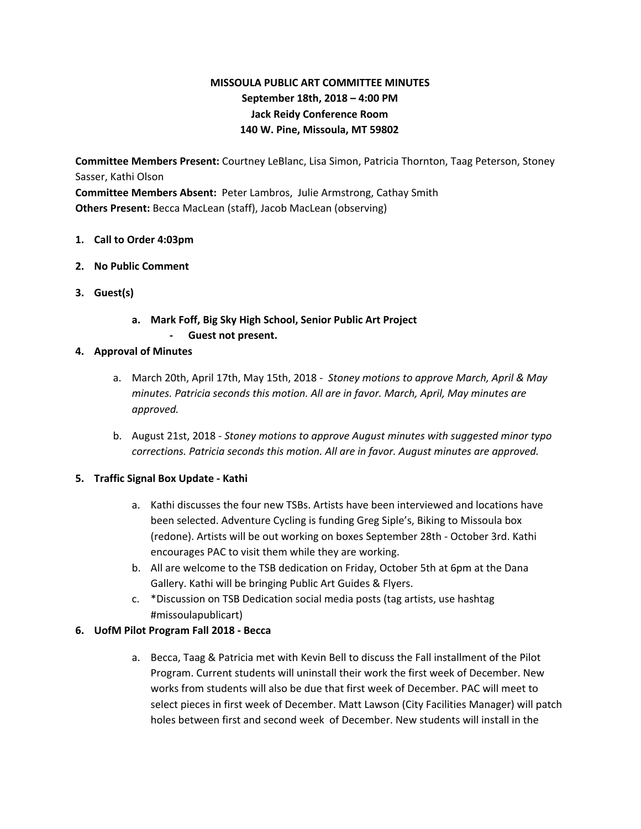# **MISSOULA PUBLIC ART COMMITTEE MINUTES September 18th, 2018 – 4:00 PM Jack Reidy Conference Room 140 W. Pine, Missoula, MT 59802**

**Committee Members Present:** Courtney LeBlanc, Lisa Simon, Patricia Thornton, Taag Peterson, Stoney Sasser, Kathi Olson

**Committee Members Absent:** Peter Lambros, Julie Armstrong, Cathay Smith **Others Present:** Becca MacLean (staff), Jacob MacLean (observing)

- **1. Call to Order 4:03pm**
- **2. No Public Comment**
- **3. Guest(s)**
	- **a. Mark Foff, Big Sky High School, Senior Public Art Project - Guest not present.**
- **4. Approval of Minutes**
	- a. March 20th, April 17th, May 15th, 2018 *Stoney motions to approve March, April & May minutes. Patricia seconds this motion. All are in favor. March, April, May minutes are approved.*
	- b. August 21st, 2018 *Stoney motions to approve August minutes with suggested minor typo corrections. Patricia seconds this motion. All are in favor. August minutes are approved.*

# **5. Traffic Signal Box Update - Kathi**

- a. Kathi discusses the four new TSBs. Artists have been interviewed and locations have been selected. Adventure Cycling is funding Greg Siple's, Biking to Missoula box (redone). Artists will be out working on boxes September 28th - October 3rd. Kathi encourages PAC to visit them while they are working.
- b. All are welcome to the TSB dedication on Friday, October 5th at 6pm at the Dana Gallery. Kathi will be bringing Public Art Guides & Flyers.
- c. \*Discussion on TSB Dedication social media posts (tag artists, use hashtag #missoulapublicart)

# **6. UofM Pilot Program Fall 2018 - Becca**

a. Becca, Taag & Patricia met with Kevin Bell to discuss the Fall installment of the Pilot Program. Current students will uninstall their work the first week of December. New works from students will also be due that first week of December. PAC will meet to select pieces in first week of December. Matt Lawson (City Facilities Manager) will patch holes between first and second week of December. New students will install in the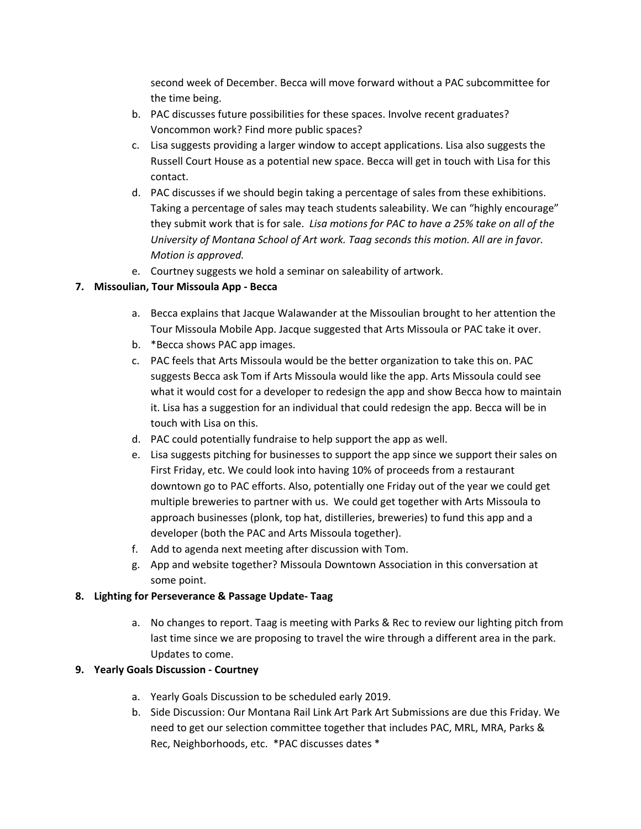second week of December. Becca will move forward without a PAC subcommittee for the time being.

- b. PAC discusses future possibilities for these spaces. Involve recent graduates? Voncommon work? Find more public spaces?
- c. Lisa suggests providing a larger window to accept applications. Lisa also suggests the Russell Court House as a potential new space. Becca will get in touch with Lisa for this contact.
- d. PAC discusses if we should begin taking a percentage of sales from these exhibitions. Taking a percentage of sales may teach students saleability. We can "highly encourage" they submit work that is for sale. *Lisa motions for PAC to have a 25% take on all of the University of Montana School of Art work. Taag seconds this motion. All are in favor. Motion is approved.*
- e. Courtney suggests we hold a seminar on saleability of artwork.

# **7. Missoulian, Tour Missoula App - Becca**

- a. Becca explains that Jacque Walawander at the Missoulian brought to her attention the Tour Missoula Mobile App. Jacque suggested that Arts Missoula or PAC take it over.
- b. \*Becca shows PAC app images.
- c. PAC feels that Arts Missoula would be the better organization to take this on. PAC suggests Becca ask Tom if Arts Missoula would like the app. Arts Missoula could see what it would cost for a developer to redesign the app and show Becca how to maintain it. Lisa has a suggestion for an individual that could redesign the app. Becca will be in touch with Lisa on this.
- d. PAC could potentially fundraise to help support the app as well.
- e. Lisa suggests pitching for businesses to support the app since we support their sales on First Friday, etc. We could look into having 10% of proceeds from a restaurant downtown go to PAC efforts. Also, potentially one Friday out of the year we could get multiple breweries to partner with us. We could get together with Arts Missoula to approach businesses (plonk, top hat, distilleries, breweries) to fund this app and a developer (both the PAC and Arts Missoula together).
- f. Add to agenda next meeting after discussion with Tom.
- g. App and website together? Missoula Downtown Association in this conversation at some point.

# **8. Lighting for Perseverance & Passage Update- Taag**

a. No changes to report. Taag is meeting with Parks & Rec to review our lighting pitch from last time since we are proposing to travel the wire through a different area in the park. Updates to come.

# **9. Yearly Goals Discussion - Courtney**

- a. Yearly Goals Discussion to be scheduled early 2019.
- b. Side Discussion: Our Montana Rail Link Art Park Art Submissions are due this Friday. We need to get our selection committee together that includes PAC, MRL, MRA, Parks & Rec, Neighborhoods, etc. \*PAC discusses dates \*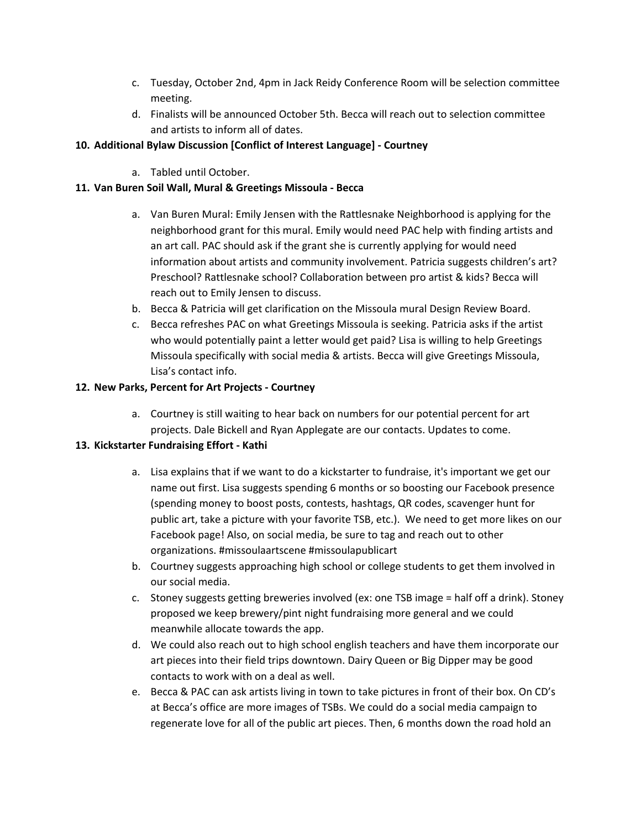- c. Tuesday, October 2nd, 4pm in Jack Reidy Conference Room will be selection committee meeting.
- d. Finalists will be announced October 5th. Becca will reach out to selection committee and artists to inform all of dates.

# **10. Additional Bylaw Discussion [Conflict of Interest Language] - Courtney**

a. Tabled until October.

# **11. Van Buren Soil Wall, Mural & Greetings Missoula - Becca**

- a. Van Buren Mural: Emily Jensen with the Rattlesnake Neighborhood is applying for the neighborhood grant for this mural. Emily would need PAC help with finding artists and an art call. PAC should ask if the grant she is currently applying for would need information about artists and community involvement. Patricia suggests children's art? Preschool? Rattlesnake school? Collaboration between pro artist & kids? Becca will reach out to Emily Jensen to discuss.
- b. Becca & Patricia will get clarification on the Missoula mural Design Review Board.
- c. Becca refreshes PAC on what Greetings Missoula is seeking. Patricia asks if the artist who would potentially paint a letter would get paid? Lisa is willing to help Greetings Missoula specifically with social media & artists. Becca will give Greetings Missoula, Lisa's contact info.

### **12. New Parks, Percent for Art Projects - Courtney**

a. Courtney is still waiting to hear back on numbers for our potential percent for art projects. Dale Bickell and Ryan Applegate are our contacts. Updates to come.

### **13. Kickstarter Fundraising Effort - Kathi**

- a. Lisa explains that if we want to do a kickstarter to fundraise, it's important we get our name out first. Lisa suggests spending 6 months or so boosting our Facebook presence (spending money to boost posts, contests, hashtags, QR codes, scavenger hunt for public art, take a picture with your favorite TSB, etc.). We need to get more likes on our Facebook page! Also, on social media, be sure to tag and reach out to other organizations. #missoulaartscene #missoulapublicart
- b. Courtney suggests approaching high school or college students to get them involved in our social media.
- c. Stoney suggests getting breweries involved (ex: one TSB image = half off a drink). Stoney proposed we keep brewery/pint night fundraising more general and we could meanwhile allocate towards the app.
- d. We could also reach out to high school english teachers and have them incorporate our art pieces into their field trips downtown. Dairy Queen or Big Dipper may be good contacts to work with on a deal as well.
- e. Becca & PAC can ask artists living in town to take pictures in front of their box. On CD's at Becca's office are more images of TSBs. We could do a social media campaign to regenerate love for all of the public art pieces. Then, 6 months down the road hold an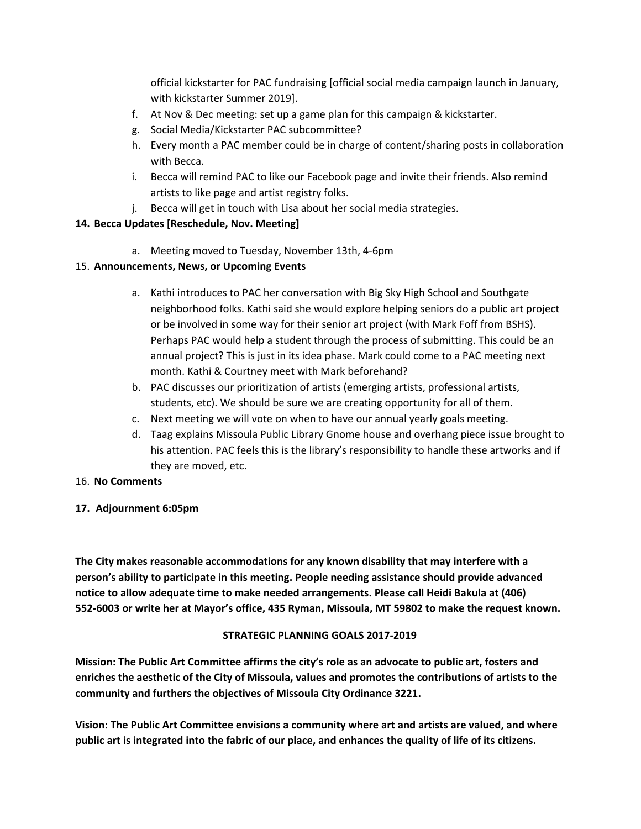official kickstarter for PAC fundraising [official social media campaign launch in January, with kickstarter Summer 2019].

- f. At Nov & Dec meeting: set up a game plan for this campaign & kickstarter.
- g. Social Media/Kickstarter PAC subcommittee?
- h. Every month a PAC member could be in charge of content/sharing posts in collaboration with Becca.
- i. Becca will remind PAC to like our Facebook page and invite their friends. Also remind artists to like page and artist registry folks.
- j. Becca will get in touch with Lisa about her social media strategies.

# **14. Becca Updates [Reschedule, Nov. Meeting]**

a. Meeting moved to Tuesday, November 13th, 4-6pm

# 15. **Announcements, News, or Upcoming Events**

- a. Kathi introduces to PAC her conversation with Big Sky High School and Southgate neighborhood folks. Kathi said she would explore helping seniors do a public art project or be involved in some way for their senior art project (with Mark Foff from BSHS). Perhaps PAC would help a student through the process of submitting. This could be an annual project? This is just in its idea phase. Mark could come to a PAC meeting next month. Kathi & Courtney meet with Mark beforehand?
- b. PAC discusses our prioritization of artists (emerging artists, professional artists, students, etc). We should be sure we are creating opportunity for all of them.
- c. Next meeting we will vote on when to have our annual yearly goals meeting.
- d. Taag explains Missoula Public Library Gnome house and overhang piece issue brought to his attention. PAC feels this is the library's responsibility to handle these artworks and if they are moved, etc.

### 16. **No Comments**

### **17. Adjournment 6:05pm**

**The City makes reasonable accommodations for any known disability that may interfere with a person's ability to participate in this meeting. People needing assistance should provide advanced notice to allow adequate time to make needed arrangements. Please call Heidi Bakula at (406) 552-6003 or write her at Mayor's office, 435 Ryman, Missoula, MT 59802 to make the request known.**

### **STRATEGIC PLANNING GOALS 2017-2019**

**Mission: The Public Art Committee affirms the city's role as an advocate to public art, fosters and enriches the aesthetic of the City of Missoula, values and promotes the contributions of artists to the community and furthers the objectives of Missoula City Ordinance 3221.**

**Vision: The Public Art Committee envisions a community where art and artists are valued, and where** public art is integrated into the fabric of our place, and enhances the quality of life of its citizens.